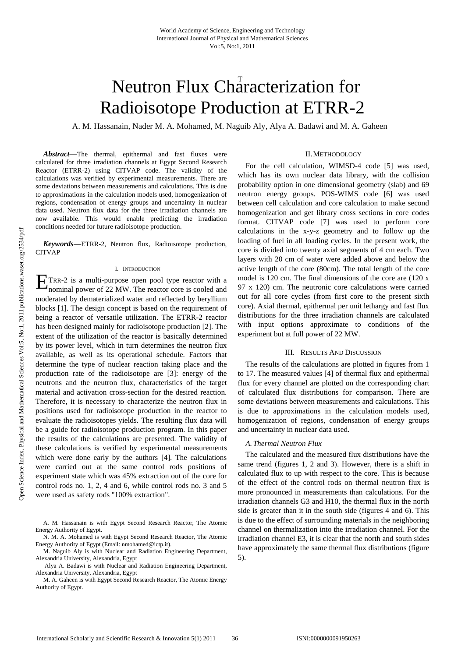# Neutron Flux Characterization for Radioisotope Production at ETRR-2

A. M. Hassanain, Nader M. A. Mohamed, M. Naguib Aly, Alya A. Badawi and M. A. Gaheen

*Abstract*—The thermal, epithermal and fast fluxes were calculated for three irradiation channels at Egypt Second Research Reactor (ETRR-2) using CITVAP code. The validity of the calculations was verified by experimental measurements. There are some deviations between measurements and calculations. This is due to approximations in the calculation models used, homogenization of regions, condensation of energy groups and uncertainty in nuclear data used. Neutron flux data for the three irradiation channels are now available. This would enable predicting the irradiation conditions needed for future radioisotope production.

*Keywords***—**ETRR-2, Neutron flux, Radioisotope production, CITVAP

## I. INTRODUCTION

TRR-2 is a multi-purpose open pool type reactor with a  $E$ TRR-2 is a multi-purpose open pool type reactor with a nominal power of 22 MW. The reactor core is cooled and moderated by dematerialized water and reflected by beryllium blocks [1]. The design concept is based on the requirement of being a reactor of versatile utilization. The ETRR-2 reactor has been designed mainly for radioisotope production [2]. The extent of the utilization of the reactor is basically determined by its power level, which in turn determines the neutron flux available, as well as its operational schedule. Factors that determine the type of nuclear reaction taking place and the production rate of the radioisotope are [3]: energy of the neutrons and the neutron flux, characteristics of the target material and activation cross-section for the desired reaction. Therefore, it is necessary to characterize the neutron flux in positions used for radioisotope production in the reactor to evaluate the radioisotopes yields. The resulting flux data will be a guide for radioisotope production program. In this paper the results of the calculations are presented. The validity of these calculations is verified by experimental measurements which were done early by the authors [4]. The calculations were carried out at the same control rods positions of experiment state which was 45% extraction out of the core for control rods no. 1, 2, 4 and 6, while control rods no. 3 and 5 were used as safety rods "100% extraction".

A. M. Hassanain is with Egypt Second Research Reactor, The Atomic Energy Authority of Egypt.

N. M. A. Mohamed is with Egypt Second Research Reactor, The Atomic Energy Authority of Egypt (Email: nmohamed@ictp.it).

M. Naguib Aly is with Nuclear and Radiation Engineering Department, Alexandria University, Alexandria, Egypt

 Alya A. Badawi is with Nuclear and Radiation Engineering Department, Alexandria University, Alexandria, Egypt

M. A. Gaheen is with Egypt Second Research Reactor, The Atomic Energy Authority of Egypt.

### II.METHODOLOGY

For the cell calculation, WIMSD-4 code [5] was used, which has its own nuclear data library, with the collision probability option in one dimensional geometry (slab) and 69 neutron energy groups. POS-WIMS code [6] was used between cell calculation and core calculation to make second homogenization and get library cross sections in core codes format. CITVAP code [7] was used to perform core calculations in the x-y-z geometry and to follow up the loading of fuel in all loading cycles. In the present work, the core is divided into twenty axial segments of 4 cm each. Two layers with 20 cm of water were added above and below the active length of the core (80cm). The total length of the core model is 120 cm. The final dimensions of the core are (120 x 97 x 120) cm. The neutronic core calculations were carried out for all core cycles (from first core to the present sixth core). Axial thermal, epithermal per unit lethargy and fast flux distributions for the three irradiation channels are calculated with input options approximate to conditions of the experiment but at full power of 22 MW.

## III. RESULTS AND DISCUSSION

The results of the calculations are plotted in figures from 1 to 17. The measured values [4] of thermal flux and epithermal flux for every channel are plotted on the corresponding chart of calculated flux distributions for comparison. There are some deviations between measurements and calculations. This is due to approximations in the calculation models used, homogenization of regions, condensation of energy groups and uncertainty in nuclear data used.

# *A.Thermal Neutron Flux*

The calculated and the measured flux distributions have the same trend (figures 1, 2 and 3). However, there is a shift in calculated flux to up with respect to the core. This is because of the effect of the control rods on thermal neutron flux is more pronounced in measurements than calculations. For the irradiation channels G3 and H10, the thermal flux in the north side is greater than it in the south side (figures 4 and 6). This is due to the effect of surrounding materials in the neighboring channel on thermalization into the irradiation channel. For the irradiation channel E3, it is clear that the north and south sides have approximately the same thermal flux distributions (figure 5).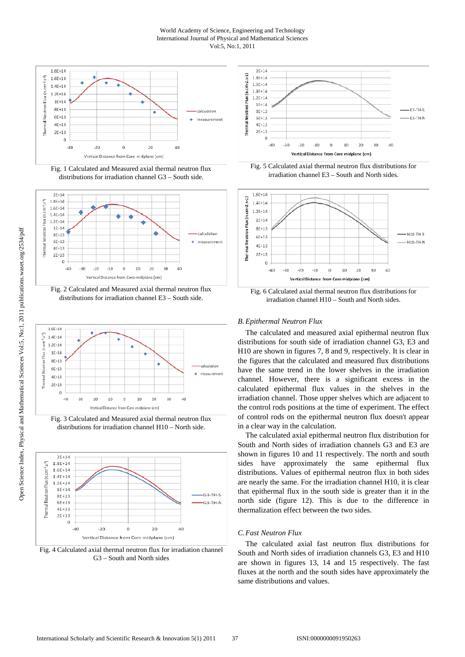## World Academy of Science, Engineering and Technology International Journal of Physical and Mathematical Sciences Vol:5, No:1, 2011



Fig. 1 Calculated and Measured axial thermal neutron flux distributions for irradiation channel G3 – South side.



Fig. 2 Calculated and Measured axial thermal neutron flux distributions for irradiation channel E3 – South side.



Fig. 3 Calculated and Measured axial thermal neutron flux distributions for irradiation channel H10 – North side.



Fig. 4 Calculated axial thermal neutron flux for irradiation channel G3 – South and North sides



Fig. 5 Calculated axial thermal neutron flux distributions for irradiation channel E3 – South and North sides.



Fig. 6 Calculated axial thermal neutron flux distributions for irradiation channel H10 – South and North sides.

# *B.Epithermal Neutron Flux*

The calculated and measured axial epithermal neutron flux distributions for south side of irradiation channel G3, E3 and H10 are shown in figures 7, 8 and 9, respectively. It is clear in the figures that the calculated and measured flux distributions have the same trend in the lower shelves in the irradiation channel. However, there is a significant excess in the calculated epithermal flux values in the shelves in the irradiation channel. Those upper shelves which are adjacent to the control rods positions at the time of experiment. The effect of control rods on the epithermal neutron flux doesn't appear in a clear way in the calculation.

The calculated axial epithermal neutron flux distribution for South and North sides of irradiation channels G3 and E3 are shown in figures 10 and 11 respectively. The north and south sides have approximately the same epithermal flux distributions. Values of epithermal neutron flux in both sides are nearly the same. For the irradiation channel H10, it is clear that epithermal flux in the south side is greater than it in the north side (figure 12). This is due to the difference in thermalization effect between the two sides.

# *C.Fast Neutron Flux*

The calculated axial fast neutron flux distributions for South and North sides of irradiation channels G3, E3 and H10 are shown in figures 13, 14 and 15 respectively. The fast fluxes at the north and the south sides have approximately the same distributions and values.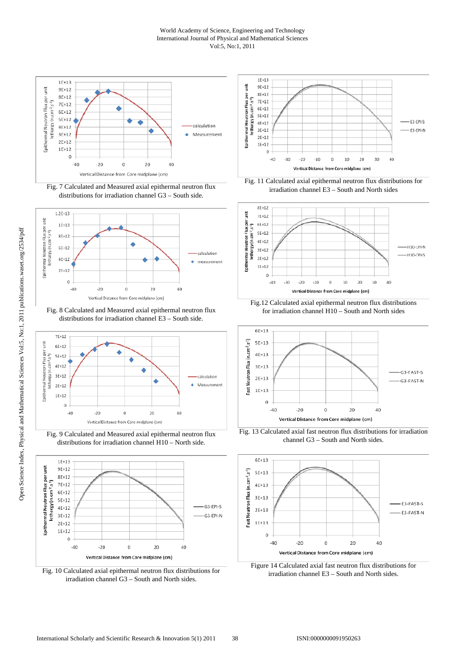## World Academy of Science, Engineering and Technology International Journal of Physical and Mathematical Sciences Vol:5, No:1, 2011



Fig. 7 Calculated and Measured axial epithermal neutron flux distributions for irradiation channel G3 – South side.



Fig. 8 Calculated and Measured axial epithermal neutron flux distributions for irradiation channel E3 – South side.



Fig. 9 Calculated and Measured axial epithermal neutron flux distributions for irradiation channel H10 – North side.



Fig. 10 Calculated axial epithermal neutron flux distributions for irradiation channel G3 – South and North sides.



Fig. 11 Calculated axial epithermal neutron flux distributions for irradiation channel E3 – South and North sides



Fig.12 Calculated axial epithermal neutron flux distributions for irradiation channel H10 – South and North sides



Fig. 13 Calculated axial fast neutron flux distributions for irradiation channel G3 – South and North sides.



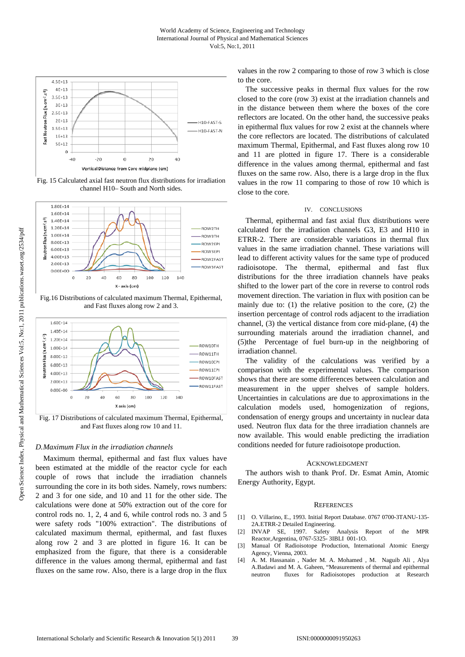

Fig. 15 Calculated axial fast neutron flux distributions for irradiation channel H10– South and North sides.



Fig.16 Distributions of calculated maximum Thermal, Epithermal, and Fast fluxes along row 2 and 3.



Fig. 17 Distributions of calculated maximum Thermal, Epithermal, and Fast fluxes along row 10 and 11.

# *D.Maximum Flux in the irradiation channels*

Maximum thermal, epithermal and fast flux values have been estimated at the middle of the reactor cycle for each couple of rows that include the irradiation channels surrounding the core in its both sides. Namely, rows numbers: 2 and 3 for one side, and 10 and 11 for the other side. The calculations were done at 50% extraction out of the core for control rods no. 1, 2, 4 and 6, while control rods no. 3 and 5 were safety rods "100% extraction". The distributions of calculated maximum thermal, epithermal, and fast fluxes along row 2 and 3 are plotted in figure 16. It can be emphasized from the figure, that there is a considerable difference in the values among thermal, epithermal and fast fluxes on the same row. Also, there is a large drop in the flux values in the row 2 comparing to those of row 3 which is close to the core.

The successive peaks in thermal flux values for the row closed to the core (row 3) exist at the irradiation channels and in the distance between them where the boxes of the core reflectors are located. On the other hand, the successive peaks in epithermal flux values for row 2 exist at the channels where the core reflectors are located. The distributions of calculated maximum Thermal, Epithermal, and Fast fluxes along row 10 and 11 are plotted in figure 17. There is a considerable difference in the values among thermal, epithermal and fast fluxes on the same row. Also, there is a large drop in the flux values in the row 11 comparing to those of row 10 which is close to the core.

## IV. CONCLUSIONS

Thermal, epithermal and fast axial flux distributions were calculated for the irradiation channels G3, E3 and H10 in ETRR-2. There are considerable variations in thermal flux values in the same irradiation channel. These variations will lead to different activity values for the same type of produced radioisotope. The thermal, epithermal and fast flux distributions for the three irradiation channels have peaks shifted to the lower part of the core in reverse to control rods movement direction. The variation in flux with position can be mainly due to: (1) the relative position to the core, (2) the insertion percentage of control rods adjacent to the irradiation channel, (3) the vertical distance from core mid-plane, (4) the surrounding materials around the irradiation channel, and (5)the Percentage of fuel burn-up in the neighboring of irradiation channel.

The validity of the calculations was verified by a comparison with the experimental values. The comparison shows that there are some differences between calculation and measurement in the upper shelves of sample holders. Uncertainties in calculations are due to approximations in the calculation models used, homogenization of regions, condensation of energy groups and uncertainty in nuclear data used. Neutron flux data for the three irradiation channels are now available. This would enable predicting the irradiation conditions needed for future radioisotope production.

#### ACKNOWLEDGMENT

The authors wish to thank Prof. Dr. Esmat Amin, Atomic Energy Authority, Egypt.

#### **REFERENCES**

- [1] O. Villarino, E., 1993. Initial Report Database. 0767 0700-3TANU-135- 2A.ETRR-2 Detailed Engineering.<br>INVAP SE, 1997. Safety
- [2] INVAP SE, 1997. Safety Analysis Report of the MPR Reactor,Argentina, 0767-5325- 3IBLI 001-1O.
- [3] Manual Of Radioisotope Production, International Atomic Energy Agency, Vienna, 2003.
- [4] A. M. Hassanain , Nader M. A. Mohamed , M. Naguib Ali , Alya A.Badawi and M. A. Gaheen, "Measurements of thermal and epithermal neutron fluxes for Radioisotopes production at Research